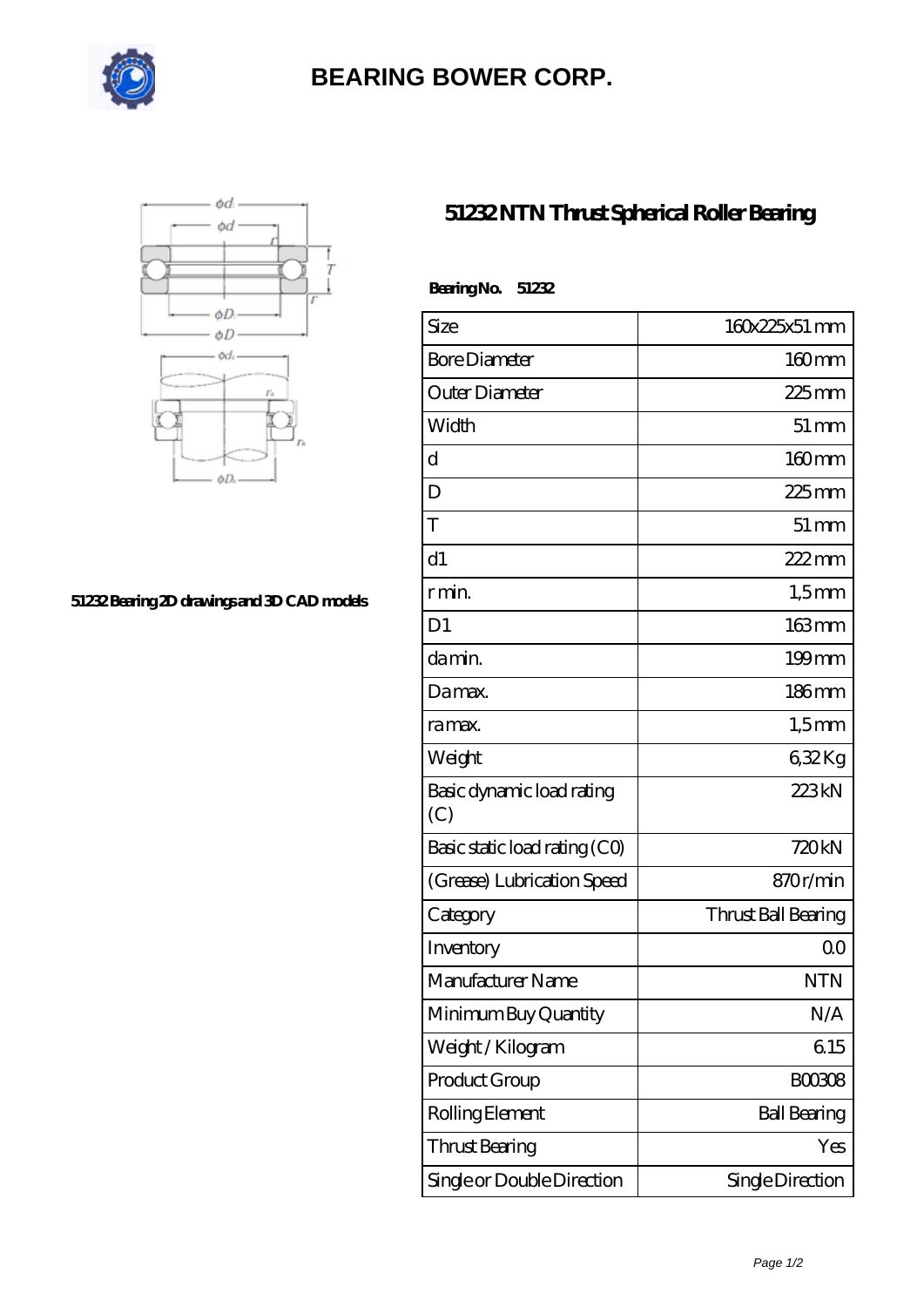

## **[BEARING BOWER CORP.](https://ballersunited.org)**



## **[51232 Bearing 2D drawings and 3D CAD models](https://ballersunited.org/pic-1037177.html)**

## **[51232 NTN Thrust Spherical Roller Bearing](https://ballersunited.org/thrust-tapered-roller-bearing/51232.html)**

| Bearing No.<br>51232             |                     |
|----------------------------------|---------------------|
| Size                             | 160x225x51 mm       |
| <b>Bore Diameter</b>             | $160$ mm            |
| Outer Diameter                   | $225$ mm            |
| Width                            | $51 \,\mathrm{mm}$  |
| $\mathbf d$                      | $160$ mm            |
| D                                | $225$ mm            |
| T                                | $51 \,\mathrm{mm}$  |
| d1                               | $222$ mm            |
| r min.                           | $1,5$ mm            |
| D <sub>1</sub>                   | $163 \text{mm}$     |
| da min.                          | $199$ mm            |
| Damax.                           | 186mm               |
| ra max.                          | $1,5$ mm            |
| Weight                           | 632Kg               |
| Basic dynamic load rating<br>(C) | 223kN               |
| Basic static load rating (CO)    | 720kN               |
| (Grease) Lubrication Speed       | 870r/min            |
| Category                         | Thrust Ball Bearing |
| Inventory                        | 0 <sup>0</sup>      |
| Manufacturer Name                | <b>NTN</b>          |
| Minimum Buy Quantity             | N/A                 |
| Weight / Kilogram                | 615                 |
| Product Group                    | <b>BOO3O8</b>       |
| Rolling Element                  | <b>Ball Bearing</b> |
| <b>Thrust Bearing</b>            | Yes                 |
| Single or Double Direction       | Single Direction    |